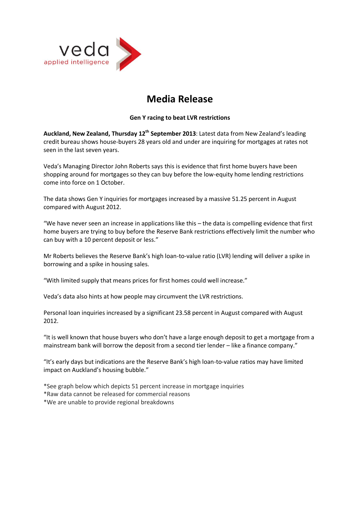

# **Media Release**

## **Gen Y racing to beat LVR restrictions**

**Auckland, New Zealand, Thursday 12th September 2013**: Latest data from New Zealand's leading credit bureau shows house-buyers 28 years old and under are inquiring for mortgages at rates not seen in the last seven years.

Veda's Managing Director John Roberts says this is evidence that first home buyers have been shopping around for mortgages so they can buy before the low-equity home lending restrictions come into force on 1 October.

The data shows Gen Y inquiries for mortgages increased by a massive 51.25 percent in August compared with August 2012.

"We have never seen an increase in applications like this – the data is compelling evidence that first home buyers are trying to buy before the Reserve Bank restrictions effectively limit the number who can buy with a 10 percent deposit or less."

Mr Roberts believes the Reserve Bank's high loan-to-value ratio (LVR) lending will deliver a spike in borrowing and a spike in housing sales.

"With limited supply that means prices for first homes could well increase."

Veda's data also hints at how people may circumvent the LVR restrictions.

Personal loan inquiries increased by a significant 23.58 percent in August compared with August 2012.

"It is well known that house buyers who don't have a large enough deposit to get a mortgage from a mainstream bank will borrow the deposit from a second tier lender – like a finance company."

"It's early days but indications are the Reserve Bank's high loan-to-value ratios may have limited impact on Auckland's housing bubble."

\*See graph below which depicts 51 percent increase in mortgage inquiries

\*Raw data cannot be released for commercial reasons

\*We are unable to provide regional breakdowns